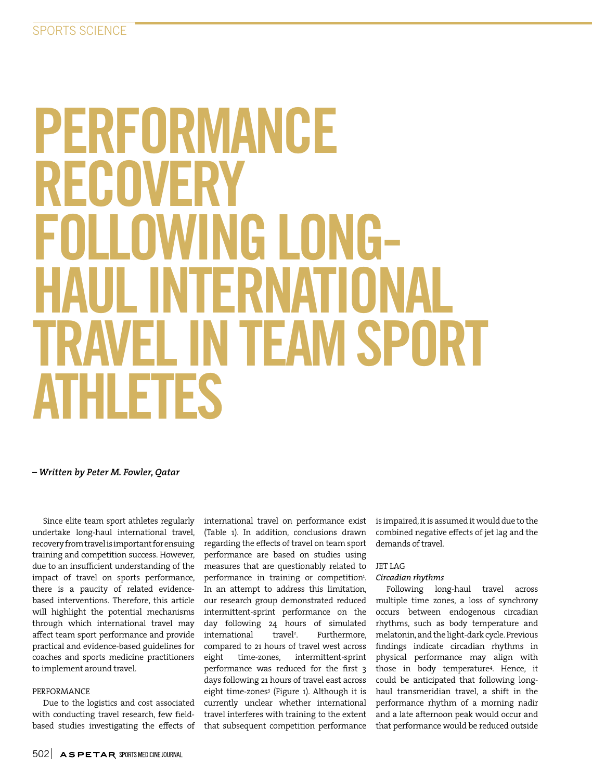# PERFORMANCE RECOVERY FNI I NWING I NNG-ITFRNA TRAVEL IN TEAM SPORT ATHLETES

*– Written by Peter M. Fowler, Qatar*

Since elite team sport athletes regularly undertake long-haul international travel, recovery from travel is important for ensuing training and competition success. However, due to an insufficient understanding of the impact of travel on sports performance, there is a paucity of related evidencebased interventions. Therefore, this article will highlight the potential mechanisms through which international travel may affect team sport performance and provide practical and evidence-based guidelines for coaches and sports medicine practitioners to implement around travel.

#### PERFORMANCE

Due to the logistics and cost associated with conducting travel research, few fieldbased studies investigating the effects of international travel on performance exist (Table 1). In addition, conclusions drawn regarding the effects of travel on team sport performance are based on studies using measures that are questionably related to performance in training or competition<sup>1</sup>. In an attempt to address this limitation, our research group demonstrated reduced intermittent-sprint performance on the day following 24 hours of simulated international travel<sup>2</sup>. . Furthermore, compared to 21 hours of travel west across eight time-zones, intermittent-sprint performance was reduced for the first 3 days following 21 hours of travel east across eight time-zones<sup>3</sup> (Figure 1). Although it is currently unclear whether international travel interferes with training to the extent that subsequent competition performance

is impaired, it is assumed it would due to the combined negative effects of jet lag and the demands of travel.

# JET LAG

# *Circadian rhythms*

Following long-haul travel across multiple time zones, a loss of synchrony occurs between endogenous circadian rhythms, such as body temperature and melatonin, and the light-dark cycle. Previous findings indicate circadian rhythms in physical performance may align with those in body temperature4 . Hence, it could be anticipated that following longhaul transmeridian travel, a shift in the performance rhythm of a morning nadir and a late afternoon peak would occur and that performance would be reduced outside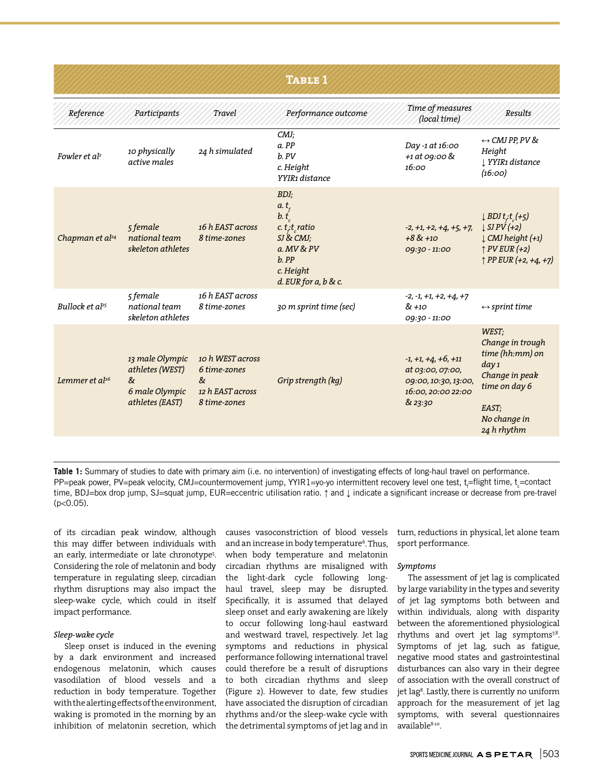| <b>TABLE 1</b>              |                                                                                     |                                                                           |                                                                                                                                   |                                                                                                    |                                                                                                                                                                               |  |  |  |  |  |
|-----------------------------|-------------------------------------------------------------------------------------|---------------------------------------------------------------------------|-----------------------------------------------------------------------------------------------------------------------------------|----------------------------------------------------------------------------------------------------|-------------------------------------------------------------------------------------------------------------------------------------------------------------------------------|--|--|--|--|--|
| Reference                   | Participants                                                                        | Travel                                                                    | Performance outcome                                                                                                               | Time of measures<br>(local time)                                                                   | Results                                                                                                                                                                       |  |  |  |  |  |
| Fowler et al <sup>2</sup>   | 10 physically<br>active males                                                       | 24 h simulated                                                            | CMJ;<br>a. PP<br>b. PV<br>c. Height<br>YYIR1 distance                                                                             | Day-1 at 16:00<br>+1 at 09:00 &<br>16:00                                                           | $\leftrightarrow$ CMJ PP, PV &<br>Height<br>↓ YYIR1 distance<br>(16:00)                                                                                                       |  |  |  |  |  |
| Chapman et al <sup>24</sup> | 5 female<br>national team<br>skeleton athletes                                      | 16 h EAST across<br>8 time-zones                                          | BDJ;<br>a.t.<br>b. t<br>c. $t_i$ t, ratio<br>$SI$ & $CMJ$ ;<br>a. MV & PV<br>$b.$ $PP$<br>c. Height<br>$d.$ EUR for $a, b$ & $c.$ | $-2, +1, +2, +4, +5, +7,$<br>$+88+10$<br>09:30 - 11:00                                             | $\downarrow$ BDJ t <sub>i</sub> -t <sub>c</sub> (+5)<br>$\downarrow$ SJ PV $(+2)$<br>$\downarrow$ CMJ height (+1)<br>$\uparrow$ PV EUR (+2)<br>$\uparrow$ PP EUR (+2, +4, +7) |  |  |  |  |  |
| Bullock et al <sup>25</sup> | 5 female<br>national team<br>skeleton athletes                                      | 16 h EAST across<br>8 time-zones                                          | 30 m sprint time (sec)                                                                                                            | $-2, -1, +1, +2, +4, +7$<br>& +10<br>09:30 - 11:00                                                 | $\leftrightarrow$ sprint time                                                                                                                                                 |  |  |  |  |  |
| Lemmer et al <sup>26</sup>  | 13 male Olympic<br>athletes (WEST)<br>$\alpha$<br>6 male Olympic<br>athletes (EAST) | 10 h WEST across<br>6 time-zones<br>&<br>12 h EAST across<br>8 time-zones | Grip strength (kg)                                                                                                                | $-1, +1, +4, +6, +11$<br>at 03:00, 07:00,<br>09:00, 10:30, 13:00,<br>16:00, 20:00 22:00<br>& 23:30 | WEST:<br>Change in trough<br>time (hh:mm) on<br>day <sub>1</sub><br>Change in peak<br>time on day 6<br>EAST:<br>No change in<br>24 h rhythm                                   |  |  |  |  |  |

**Table 1:** Summary of studies to date with primary aim (i.e. no intervention) of investigating effects of long-haul travel on performance. PP=peak power, PV=peak velocity, CMJ=countermovement jump, YYIR1=yo-yo intermittent recovery level one test, t<sub>r</sub>=flight time, t<sub>c</sub>=contact time, BDJ=box drop jump, SJ=squat jump, EUR=eccentric utilisation ratio. ↑ and ↓ indicate a significant increase or decrease from pre-travel  $(p<0.05)$ .

of its circadian peak window, although this may differ between individuals with an early, intermediate or late chronotype5 . Considering the role of melatonin and body temperature in regulating sleep, circadian rhythm disruptions may also impact the sleep-wake cycle, which could in itself impact performance.

# *Sleep-wake cycle*

Sleep onset is induced in the evening by a dark environment and increased endogenous melatonin, which causes vasodilation of blood vessels and a reduction in body temperature. Together with the alerting effects of the environment, waking is promoted in the morning by an inhibition of melatonin secretion, which

causes vasoconstriction of blood vessels and an increase in body temperature<sup>6</sup>. Thus, when body temperature and melatonin circadian rhythms are misaligned with the light-dark cycle following longhaul travel, sleep may be disrupted. Specifically, it is assumed that delayed sleep onset and early awakening are likely to occur following long-haul eastward and westward travel, respectively. Jet lag symptoms and reductions in physical performance following international travel could therefore be a result of disruptions to both circadian rhythms and sleep (Figure 2). However to date, few studies have associated the disruption of circadian rhythms and/or the sleep-wake cycle with the detrimental symptoms of jet lag and in turn, reductions in physical, let alone team sport performance.

# *Symptoms*

The assessment of jet lag is complicated by large variability in the types and severity of jet lag symptoms both between and within individuals, along with disparity between the aforementioned physiological rhythms and overt jet lag symptoms<sup>7,8</sup>. Symptoms of jet lag, such as fatigue, negative mood states and gastrointestinal disturbances can also vary in their degree of association with the overall construct of jet lag<sup>8</sup>. Lastly, there is currently no uniform approach for the measurement of jet lag symptoms, with several questionnaires available8-10.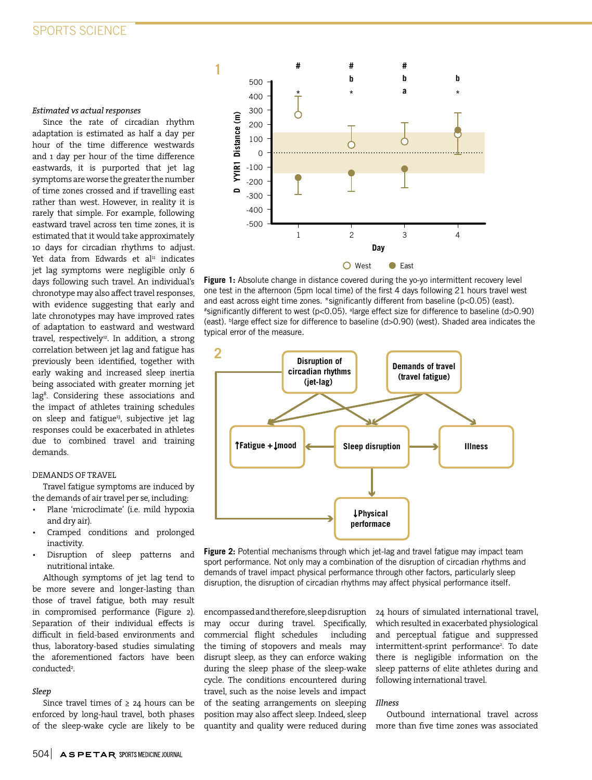#### *Estimated vs actual responses*

Since the rate of circadian rhythm adaptation is estimated as half a day per hour of the time difference westwards and 1 day per hour of the time difference eastwards, it is purported that jet lag symptoms are worse the greater the number of time zones crossed and if travelling east rather than west. However, in reality it is rarely that simple. For example, following eastward travel across ten time zones, it is estimated that it would take approximately 10 days for circadian rhythms to adjust. Yet data from Edwards et al<sup>11</sup> indicates jet lag symptoms were negligible only 6 days following such travel. An individual's chronotype may also affect travel responses, with evidence suggesting that early and late chronotypes may have improved rates of adaptation to eastward and westward travel, respectively<sup>12</sup>. In addition, a strong correlation between jet lag and fatigue has previously been identified, together with early waking and increased sleep inertia being associated with greater morning jet lag8 . Considering these associations and the impact of athletes training schedules on sleep and fatigue<sup>13</sup>, subjective jet lag responses could be exacerbated in athletes due to combined travel and training demands.

# DEMANDS OF TRAVEL

Travel fatigue symptoms are induced by the demands of air travel per se, including:

- Plane 'microclimate' (i.e. mild hypoxia and dry air).
- Cramped conditions and prolonged inactivity.
- Disruption of sleep patterns and nutritional intake.

Although symptoms of jet lag tend to be more severe and longer-lasting than those of travel fatigue, both may result in compromised performance (Figure 2). Separation of their individual effects is difficult in field-based environments and thus, laboratory-based studies simulating the aforementioned factors have been conducted<sup>2</sup>.

#### *Sleep*

Since travel times of  $\geq$  24 hours can be enforced by long-haul travel, both phases of the sleep-wake cycle are likely to be



Figure 1: Absolute change in distance covered during the yo-yo intermittent recovery level one test in the afternoon (5pm local time) of the first 4 days following 21 hours travel west and east across eight time zones. \*significantly different from baseline (p<0.05) (east). #significantly different to west (p<0.05). a large effect size for difference to baseline (d>0.90) (east). b large effect size for difference to baseline (d>0.90) (west). Shaded area indicates the typical error of the measure.



Figure 2: Potential mechanisms through which jet-lag and travel fatigue may impact team sport performance. Not only may a combination of the disruption of circadian rhythms and demands of travel impact physical performance through other factors, particularly sleep disruption, the disruption of circadian rhythms may affect physical performance itself.

encompassed and therefore, sleep disruption may occur during travel. Specifically, commercial flight schedules including the timing of stopovers and meals may disrupt sleep, as they can enforce waking during the sleep phase of the sleep-wake cycle. The conditions encountered during travel, such as the noise levels and impact of the seating arrangements on sleeping position may also affect sleep. Indeed, sleep quantity and quality were reduced during

24 hours of simulated international travel, which resulted in exacerbated physiological and perceptual fatigue and suppressed intermittent-sprint performance<sup>2</sup>. To date there is negligible information on the sleep patterns of elite athletes during and following international travel.

#### *Illness*

Outbound international travel across more than five time zones was associated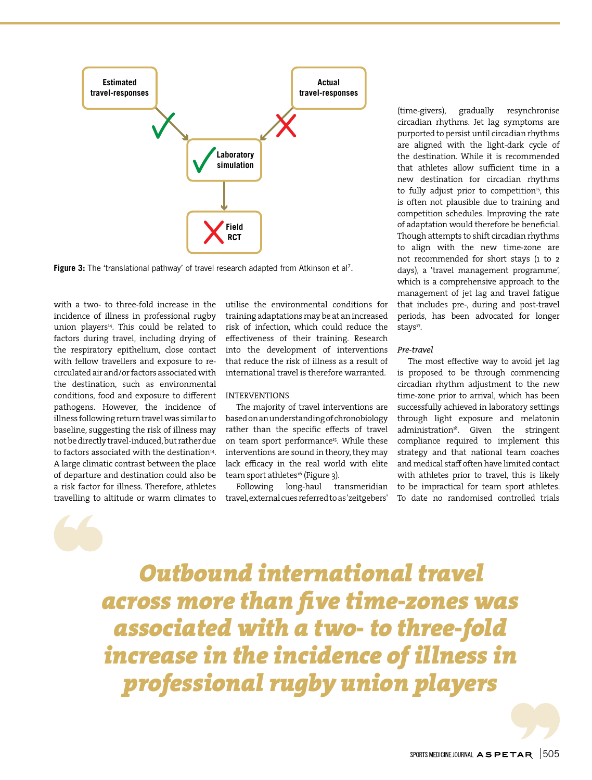

Figure 3: The 'translational pathway' of travel research adapted from Atkinson et al<sup>7</sup>.

with a two- to three-fold increase in the incidence of illness in professional rugby union players<sup>14</sup>. This could be related to factors during travel, including drying of the respiratory epithelium, close contact with fellow travellers and exposure to recirculated air and/or factors associated with the destination, such as environmental conditions, food and exposure to different pathogens. However, the incidence of illness following return travel was similar to baseline, suggesting the risk of illness may not be directly travel-induced, but rather due to factors associated with the destination<sup>14</sup>. A large climatic contrast between the place of departure and destination could also be a risk factor for illness. Therefore, athletes travelling to altitude or warm climates to

utilise the environmental conditions for training adaptations may be at an increased risk of infection, which could reduce the effectiveness of their training. Research into the development of interventions that reduce the risk of illness as a result of international travel is therefore warranted.

#### INTERVENTIONS

The majority of travel interventions are based on an understanding of chronobiology rather than the specific effects of travel on team sport performance<sup>15</sup>. While these interventions are sound in theory, they may lack efficacy in the real world with elite team sport athletes<sup>16</sup> (Figure 3).

Following long-haul transmeridian travel, external cues referred to as 'zeitgebers'

(time-givers), gradually resynchronise circadian rhythms. Jet lag symptoms are purported to persist until circadian rhythms are aligned with the light-dark cycle of the destination. While it is recommended that athletes allow sufficient time in a new destination for circadian rhythms to fully adjust prior to competition<sup>15</sup>, this is often not plausible due to training and competition schedules. Improving the rate of adaptation would therefore be beneficial. Though attempts to shift circadian rhythms to align with the new time-zone are not recommended for short stays (1 to 2 days), a 'travel management programme', which is a comprehensive approach to the management of jet lag and travel fatigue that includes pre-, during and post-travel periods, has been advocated for longer stays<sup>17</sup>.

#### *Pre-travel*

The most effective way to avoid jet lag is proposed to be through commencing circadian rhythm adjustment to the new time-zone prior to arrival, which has been successfully achieved in laboratory settings through light exposure and melatonin administration<sup>18</sup>. Given the stringent compliance required to implement this strategy and that national team coaches and medical staff often have limited contact with athletes prior to travel, this is likely to be impractical for team sport athletes. To date no randomised controlled trials

*Outbound international travel across more than five time-zones was associated with a two- to three-fold increase in the incidence of illness in professional rugby union players*

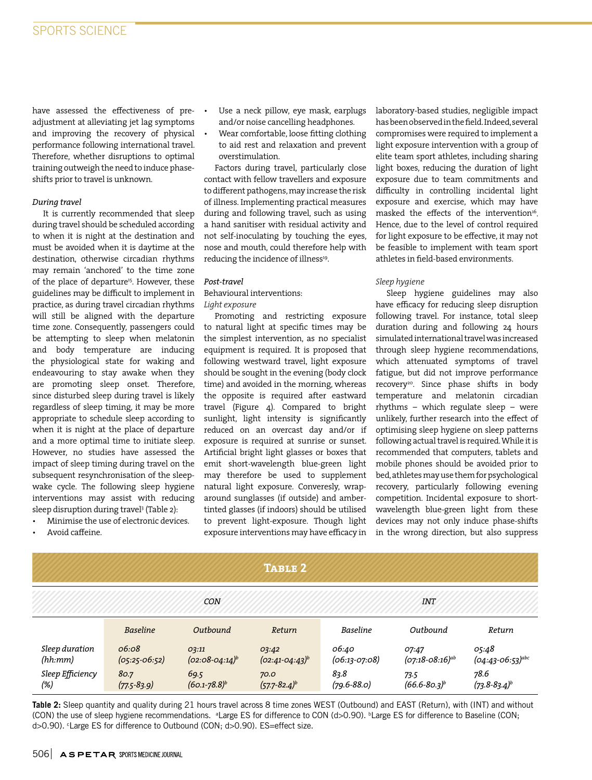have assessed the effectiveness of preadjustment at alleviating jet lag symptoms and improving the recovery of physical performance following international travel. Therefore, whether disruptions to optimal training outweigh the need to induce phaseshifts prior to travel is unknown.

# *During travel*

It is currently recommended that sleep during travel should be scheduled according to when it is night at the destination and must be avoided when it is daytime at the destination, otherwise circadian rhythms may remain 'anchored' to the time zone of the place of departure<sup>15</sup>. However, these guidelines may be difficult to implement in practice, as during travel circadian rhythms will still be aligned with the departure time zone. Consequently, passengers could be attempting to sleep when melatonin and body temperature are inducing the physiological state for waking and endeavouring to stay awake when they are promoting sleep onset. Therefore, since disturbed sleep during travel is likely regardless of sleep timing, it may be more appropriate to schedule sleep according to when it is night at the place of departure and a more optimal time to initiate sleep. However, no studies have assessed the impact of sleep timing during travel on the subsequent resynchronisation of the sleepwake cycle. The following sleep hygiene interventions may assist with reducing sleep disruption during travel3 (Table 2):

- Minimise the use of electronic devices.
- Avoid caffeine.
- Use a neck pillow, eye mask, earplugs and/or noise cancelling headphones.
- Wear comfortable, loose fitting clothing to aid rest and relaxation and prevent overstimulation.

Factors during travel, particularly close contact with fellow travellers and exposure to different pathogens, may increase the risk of illness. Implementing practical measures during and following travel, such as using a hand sanitiser with residual activity and not self-inoculating by touching the eyes, nose and mouth, could therefore help with reducing the incidence of illness<sup>19</sup>.

#### *Post-travel*

Behavioural interventions: *Light exposure*

Promoting and restricting exposure to natural light at specific times may be the simplest intervention, as no specialist equipment is required. It is proposed that following westward travel, light exposure should be sought in the evening (body clock time) and avoided in the morning, whereas the opposite is required after eastward travel (Figure 4). Compared to bright sunlight, light intensity is significantly reduced on an overcast day and/or if exposure is required at sunrise or sunset. Artificial bright light glasses or boxes that emit short-wavelength blue-green light may therefore be used to supplement natural light exposure. Converesly, wraparound sunglasses (if outside) and ambertinted glasses (if indoors) should be utilised to prevent light-exposure. Though light exposure interventions may have efficacy in

laboratory-based studies, negligible impact has been observed in the field. Indeed, several compromises were required to implement a light exposure intervention with a group of elite team sport athletes, including sharing light boxes, reducing the duration of light exposure due to team commitments and difficulty in controlling incidental light exposure and exercise, which may have masked the effects of the intervention<sup>16</sup>. Hence, due to the level of control required for light exposure to be effective, it may not be feasible to implement with team sport athletes in field-based environments.

# *Sleep hygiene*

Sleep hygiene guidelines may also have efficacy for reducing sleep disruption following travel. For instance, total sleep duration during and following 24 hours simulated international travel was increased through sleep hygiene recommendations, which attenuated symptoms of travel fatigue, but did not improve performance recovery<sup>20</sup>. Since phase shifts in body temperature and melatonin circadian rhythms – which regulate sleep – were unlikely, further research into the effect of optimising sleep hygiene on sleep patterns following actual travel is required. While it is recommended that computers, tablets and mobile phones should be avoided prior to bed, athletes may use them for psychological recovery, particularly following evening competition. Incidental exposure to shortwavelength blue-green light from these devices may not only induce phase-shifts in the wrong direction, but also suppress

| TABLE 2                   |                            |                              |                              |                          |                               |                                |  |  |  |
|---------------------------|----------------------------|------------------------------|------------------------------|--------------------------|-------------------------------|--------------------------------|--|--|--|
|                           | <b>CON</b>                 |                              |                              | <b>INT</b>               |                               |                                |  |  |  |
|                           | <b>Baseline</b>            | Outbound                     | Return                       | <b>Baseline</b>          | Outbound                      | Return                         |  |  |  |
| Sleep duration<br>(hh:mm) | 06:08<br>$(05:25 - 06:52)$ | 03:11<br>$(02:08-04:14)^{b}$ | 03:42<br>$(02:41-04:43)^{b}$ | 06:40<br>$(06:13-07:08)$ | 07:47<br>$(07:18-08:16)^{ab}$ | 05:48<br>$(04:43-06:53)^{abc}$ |  |  |  |
| Sleep Efficiency<br>(%)   | 80.7<br>$(77.5 - 83.9)$    | 69.5<br>$(60.1 - 78.8)^b$    | 70.0<br>$(57.7 - 82.4)^b$    | 83.8<br>$(79.6 - 88.0)$  | 73.5<br>$(66.6 - 80.3)^{b}$   | 78.6<br>$(73.8 - 83.4)^b$      |  |  |  |

**Table 2:** Sleep quantity and quality during 21 hours travel across 8 time zones WEST (Outbound) and EAST (Return), with (INT) and without (CON) the use of sleep hygiene recommendations. <sup>a</sup>Large ES for difference to CON (d>0.90). <sup>b</sup>Large ES for difference to Baseline (CON; d>0.90). <sup>c</sup>Large ES for difference to Outbound (CON; d>0.90). ES=effect size.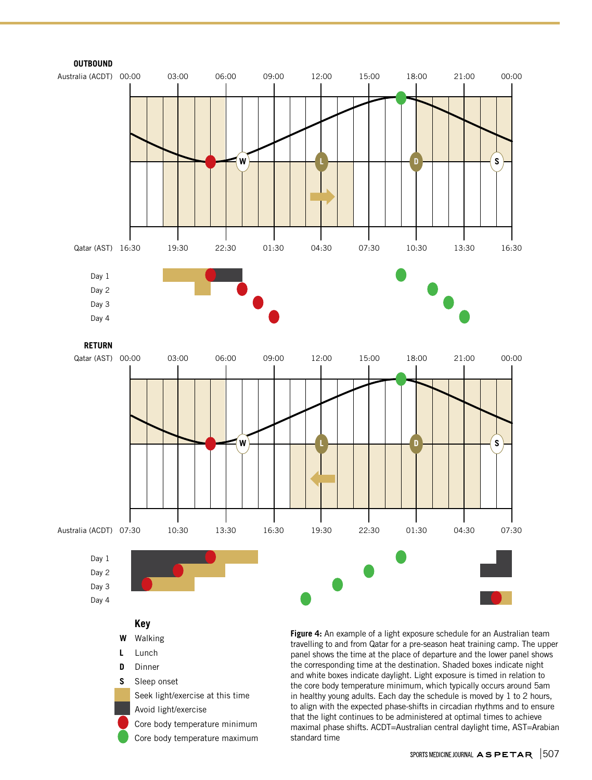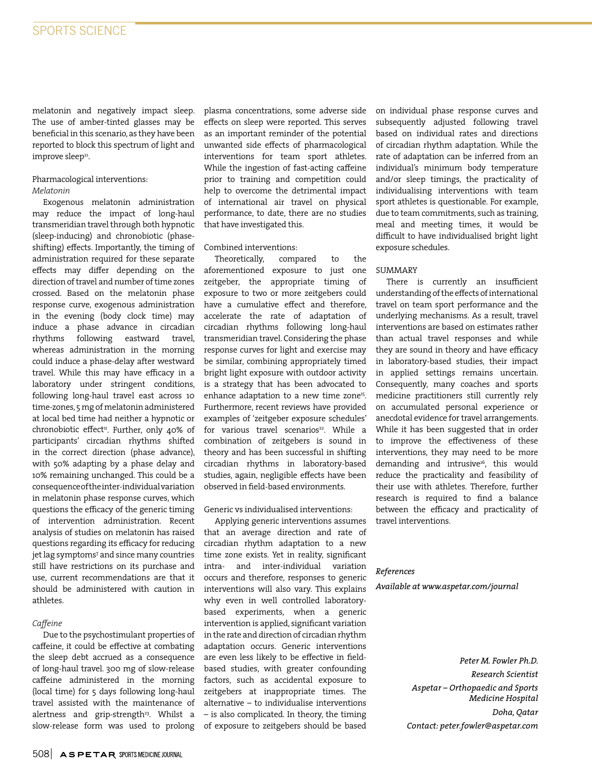melatonin and negatively impact sleep. The use of amber-tinted glasses may be beneficial in this scenario, as they have been reported to block this spectrum of light and improve sleep<sup>21</sup>.

# Pharmacological interventions:

# *Melatonin*

Exogenous melatonin administration may reduce the impact of long-haul transmeridian travel through both hypnotic (sleep-inducing) and chronobiotic (phaseshifting) effects. Importantly, the timing of administration required for these separate effects may differ depending on the direction of travel and number of time zones crossed. Based on the melatonin phase response curve, exogenous administration in the evening (body clock time) may induce a phase advance in circadian rhythms following eastward travel, whereas administration in the morning could induce a phase-delay after westward travel. While this may have efficacy in a laboratory under stringent conditions, following long-haul travel east across 10 time-zones, 5 mg of melatonin administered at local bed time had neither a hypnotic or chronobiotic effect<sup>11</sup>. Further, only 40% of participants' circadian rhythms shifted in the correct direction (phase advance), with 50% adapting by a phase delay and 10% remaining unchanged. This could be a consequence of the inter-individual variation in melatonin phase response curves, which questions the efficacy of the generic timing of intervention administration. Recent analysis of studies on melatonin has raised questions regarding its efficacy for reducing jet lag symptoms7 and since many countries still have restrictions on its purchase and use, current recommendations are that it should be administered with caution in athletes.

#### *Caffeine*

Due to the psychostimulant properties of caffeine, it could be effective at combating the sleep debt accrued as a consequence of long-haul travel. 300 mg of slow-release caffeine administered in the morning (local time) for 5 days following long-haul travel assisted with the maintenance of alertness and grip-strength<sup>23</sup>. Whilst a slow-release form was used to prolong

plasma concentrations, some adverse side effects on sleep were reported. This serves as an important reminder of the potential unwanted side effects of pharmacological interventions for team sport athletes. While the ingestion of fast-acting caffeine prior to training and competition could help to overcome the detrimental impact of international air travel on physical performance, to date, there are no studies that have investigated this.

#### Combined interventions:

Theoretically, compared to the aforementioned exposure to just one zeitgeber, the appropriate timing of exposure to two or more zeitgebers could have a cumulative effect and therefore, accelerate the rate of adaptation of circadian rhythms following long-haul transmeridian travel. Considering the phase response curves for light and exercise may be similar, combining appropriately timed bright light exposure with outdoor activity is a strategy that has been advocated to enhance adaptation to a new time zone<sup>15</sup>. Furthermore, recent reviews have provided examples of 'zeitgeber exposure schedules' for various travel scenarios<sup>22</sup>. While a combination of zeitgebers is sound in theory and has been successful in shifting circadian rhythms in laboratory-based studies, again, negligible effects have been observed in field-based environments.

#### Generic vs individualised interventions:

Applying generic interventions assumes that an average direction and rate of circadian rhythm adaptation to a new time zone exists. Yet in reality, significant intra- and inter-individual variation occurs and therefore, responses to generic interventions will also vary. This explains why even in well controlled laboratorybased experiments, when a generic intervention is applied, significant variation in the rate and direction of circadian rhythm adaptation occurs. Generic interventions are even less likely to be effective in fieldbased studies, with greater confounding factors, such as accidental exposure to zeitgebers at inappropriate times. The alternative – to individualise interventions – is also complicated. In theory, the timing of exposure to zeitgebers should be based on individual phase response curves and subsequently adjusted following travel based on individual rates and directions of circadian rhythm adaptation. While the rate of adaptation can be inferred from an individual's minimum body temperature and/or sleep timings, the practicality of individualising interventions with team sport athletes is questionable. For example, due to team commitments, such as training, meal and meeting times, it would be difficult to have individualised bright light exposure schedules.

#### SUMMARY

There is currently an insufficient understanding of the effects of international travel on team sport performance and the underlying mechanisms. As a result, travel interventions are based on estimates rather than actual travel responses and while they are sound in theory and have efficacy in laboratory-based studies, their impact in applied settings remains uncertain. Consequently, many coaches and sports medicine practitioners still currently rely on accumulated personal experience or anecdotal evidence for travel arrangements. While it has been suggested that in order to improve the effectiveness of these interventions, they may need to be more demanding and intrusive<sup>16</sup>, this would reduce the practicality and feasibility of their use with athletes. Therefore, further research is required to find a balance between the efficacy and practicality of travel interventions.

# *References*

*Available at www.aspetar.com/journal*

*Peter M. Fowler Ph.D. Research Scientist Aspetar – Orthopaedic and Sports Medicine Hospital Doha, Qatar Contact: peter.fowler@aspetar.com*